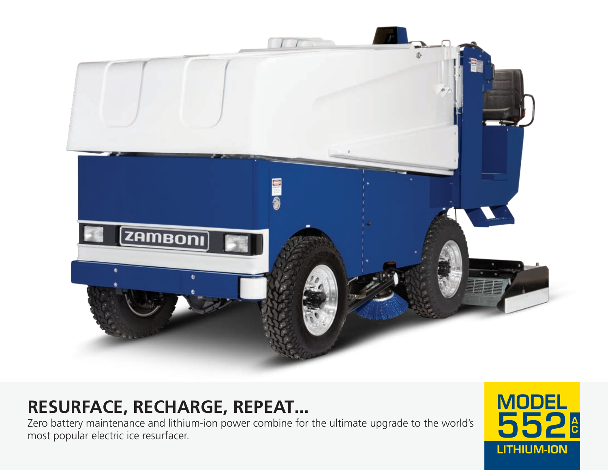

# **RESURFACE, RECHARGE, REPEAT...**

Zero battery maintenance and lithium-ion power combine for the ultimate upgrade to the world's most popular electric ice resurfacer.